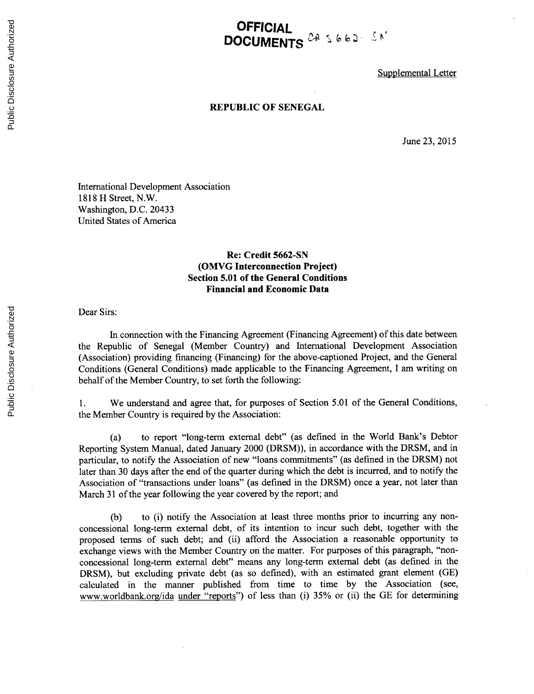## **OFFICIAL DOCUMENTS**  $24.56$

Supplemental Letter

## **REPUBLIC OF SENEGAL**

June **23, 2015**

International Development Association **1818** H Street, N.W. Washington, **D.C.** 20433 United States of America

## **Re: Credit 5662-SN (OMVG Interconnection Project) Section 5.01 of the General Conditions Financial and Economic Data**

Dear Sirs:

In connection with the Financing Agreement (Financing Agreement) of this date between the Republic of Senegal (Member Country) and International Development Association (Association) providing financing (Financing) for the above-captioned Project, and the General Conditions (General Conditions) made applicable to the Financing Agreement, **I** am writing on behalf of the Member Country, to set forth the following:

1. We understand and agree that, for purposes of Section **5.01** of the General Conditions, the Member Country is required **by** the Association:

(a) to report "long-term external debt" (as defined in the World Bank's Debtor Reporting System Manual, dated January 2000 (DRSM)), in accordance with the DRSM, and in particular, to notify the Association of new "loans commitments" (as defined in the DRSM) not later than **30** days after the end of the quarter during which the debt is incurred, and to notify the Association of "transactions under loans" (as defined in the DRSM) once a year, not later than March **31** of the year following the year covered **by** the report; and

**(b)** to (i) notify the Association at least three months prior to incurring any nonconcessional long-term external debt, of its intention to incur such debt, together with the proposed terms of such debt; and (ii) afford the Association a reasonable opportunity to exchange views with the Member Country on the matter. For purposes of this paragraph, "nonconcessional long-term external debt" means any long-term external debt (as defined in the DRSM), but excluding private debt (as so defined), with an estimated grant element **(GE)** calculated in the manner published from time to time **by** the Association (see, www.worldbank.org/ida under "reports") of less than (i) **35%** or (ii) the **GE** for determining